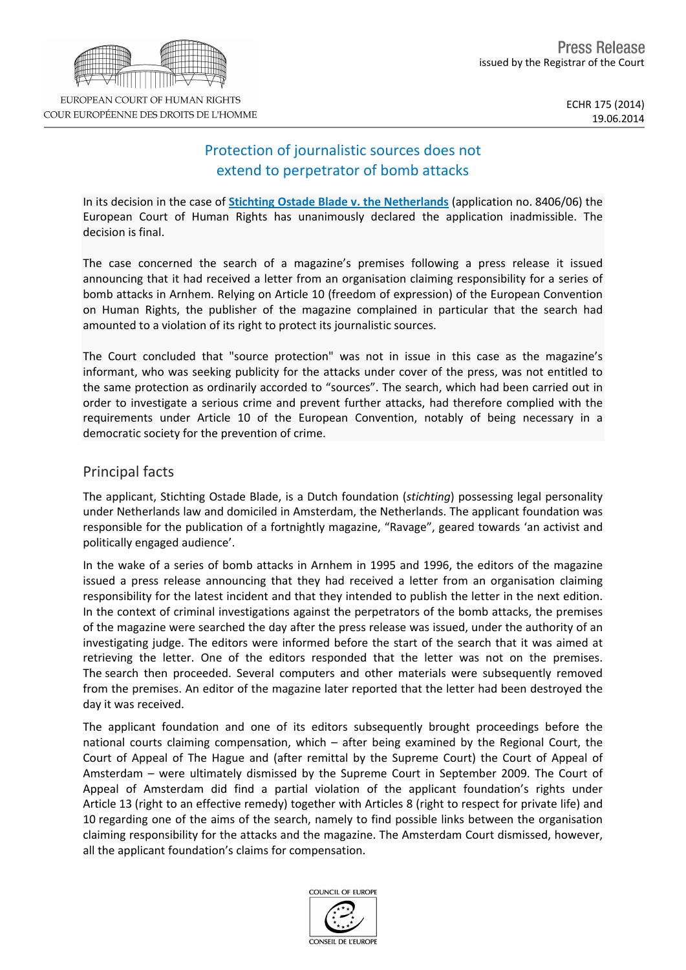# EUROPEAN COURT OF HUMAN RIGHTS COUR EUROPÉENNE DES DROITS DE L'HOMME

## Protection of journalistic sources does not extend to perpetrator of bomb attacks

In its decision in the case of **[Stichting](http://hudoc.echr.coe.int/sites/eng/pages/search.aspx?i=001-145098) [Ostade](http://hudoc.echr.coe.int/sites/eng/pages/search.aspx?i=001-145098) [Blade](http://hudoc.echr.coe.int/sites/eng/pages/search.aspx?i=001-145098) [v.](http://hudoc.echr.coe.int/sites/eng/pages/search.aspx?i=001-145098) [the](http://hudoc.echr.coe.int/sites/eng/pages/search.aspx?i=001-145098) [Netherlands](http://hudoc.echr.coe.int/sites/eng/pages/search.aspx?i=001-145098)** (application no. 8406/06) the European Court of Human Rights has unanimously declared the application inadmissible. The decision is final.

The case concerned the search of a magazine's premises following a press release it issued announcing that it had received a letter from an organisation claiming responsibility for a series of bomb attacks in Arnhem. Relying on Article 10 (freedom of expression) of the European Convention on Human Rights, the publisher of the magazine complained in particular that the search had amounted to a violation of its right to protect its journalistic sources.

The Court concluded that "source protection" was not in issue in this case as the magazine's informant, who was seeking publicity for the attacks under cover of the press, was not entitled to the same protection as ordinarily accorded to "sources". The search, which had been carried out in order to investigate a serious crime and prevent further attacks, had therefore complied with the requirements under Article 10 of the European Convention, notably of being necessary in a democratic society for the prevention of crime.

### Principal facts

The applicant, Stichting Ostade Blade, is a Dutch foundation (*stichting*) possessing legal personality under Netherlands law and domiciled in Amsterdam, the Netherlands. The applicant foundation was responsible for the publication of a fortnightly magazine, "Ravage", geared towards 'an activist and politically engaged audience'.

In the wake of a series of bomb attacks in Arnhem in 1995 and 1996, the editors of the magazine issued a press release announcing that they had received a letter from an organisation claiming responsibility for the latest incident and that they intended to publish the letter in the next edition. In the context of criminal investigations against the perpetrators of the bomb attacks, the premises of the magazine were searched the day after the press release was issued, under the authority of an investigating judge. The editors were informed before the start of the search that it was aimed at retrieving the letter. One of the editors responded that the letter was not on the premises. The search then proceeded. Several computers and other materials were subsequently removed from the premises. An editor of the magazine later reported that the letter had been destroyed the day it was received.

The applicant foundation and one of its editors subsequently brought proceedings before the national courts claiming compensation, which – after being examined by the Regional Court, the Court of Appeal of The Hague and (after remittal by the Supreme Court) the Court of Appeal of Amsterdam – were ultimately dismissed by the Supreme Court in September 2009. The Court of Appeal of Amsterdam did find a partial violation of the applicant foundation's rights under Article 13 (right to an effective remedy) together with Articles 8 (right to respect for private life) and 10 regarding one of the aims of the search, namely to find possible links between the organisation claiming responsibility for the attacks and the magazine. The Amsterdam Court dismissed, however, all the applicant foundation's claims for compensation.

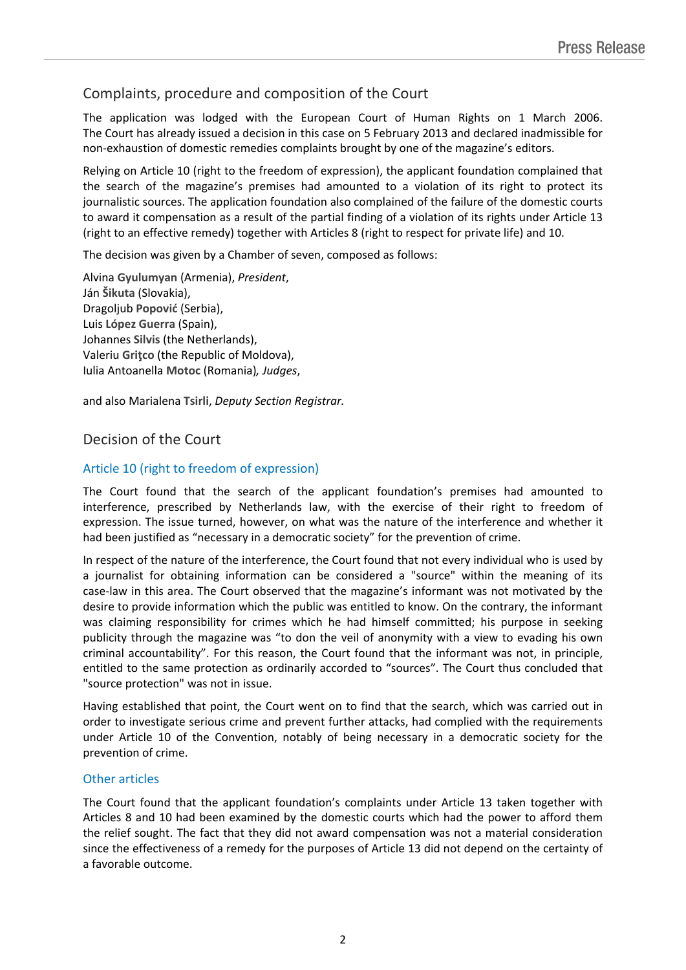## Complaints, procedure and composition of the Court

The application was lodged with the European Court of Human Rights on 1 March 2006. The Court has already issued a decision in this case on 5 February 2013 and declared inadmissible for non-exhaustion of domestic remedies complaints brought by one of the magazine's editors.

Relying on Article 10 (right to the freedom of expression), the applicant foundation complained that the search of the magazine's premises had amounted to a violation of its right to protect its journalistic sources. The application foundation also complained of the failure of the domestic courts to award it compensation as a result of the partial finding of a violation of its rights under Article 13 (right to an effective remedy) together with Articles 8 (right to respect for private life) and 10.

The decision was given by a Chamber of seven, composed as follows:

Alvina **Gyulumyan** (Armenia), *President*, Ján **Šikuta** (Slovakia), Dragoljub **Popović** (Serbia), Luis **López Guerra** (Spain), Johannes **Silvis** (the Netherlands), Valeriu **Griţco** (the Republic of Moldova), Iulia Antoanella **Motoc** (Romania)*, Judges*,

and also Marialena **Tsirli**, *Deputy Section Registrar.*

#### Decision of the Court

#### Article 10 (right to freedom of expression)

The Court found that the search of the applicant foundation's premises had amounted to interference, prescribed by Netherlands law, with the exercise of their right to freedom of expression. The issue turned, however, on what was the nature of the interference and whether it had been justified as "necessary in a democratic society" for the prevention of crime.

In respect of the nature of the interference, the Court found that not every individual who is used by a journalist for obtaining information can be considered a "source" within the meaning of its case-law in this area. The Court observed that the magazine's informant was not motivated by the desire to provide information which the public was entitled to know. On the contrary, the informant was claiming responsibility for crimes which he had himself committed; his purpose in seeking publicity through the magazine was "to don the veil of anonymity with a view to evading his own criminal accountability". For this reason, the Court found that the informant was not, in principle, entitled to the same protection as ordinarily accorded to "sources". The Court thus concluded that "source protection" was not in issue.

Having established that point, the Court went on to find that the search, which was carried out in order to investigate serious crime and prevent further attacks, had complied with the requirements under Article 10 of the Convention, notably of being necessary in a democratic society for the prevention of crime.

#### Other articles

The Court found that the applicant foundation's complaints under Article 13 taken together with Articles 8 and 10 had been examined by the domestic courts which had the power to afford them the relief sought. The fact that they did not award compensation was not a material consideration since the effectiveness of a remedy for the purposes of Article 13 did not depend on the certainty of a favorable outcome.